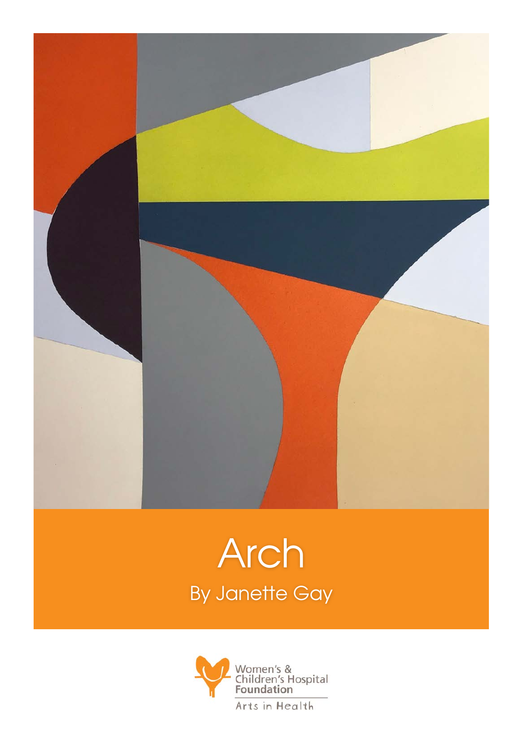

## Arch By Janette Gay

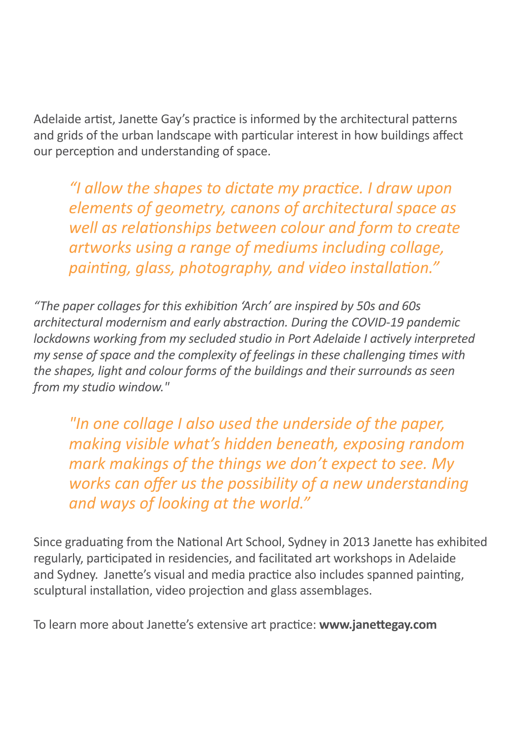Adelaide artist, Janette Gay's practice is informed by the architectural patterns and grids of the urban landscape with particular interest in how buildings affect our perception and understanding of space.

*"I allow the shapes to dictate my practice. I draw upon elements of geometry, canons of architectural space as well as relationships between colour and form to create artworks using a range of mediums including collage, painting, glass, photography, and video installation."*

*"The paper collages for this exhibition 'Arch' are inspired by 50s and 60s architectural modernism and early abstraction. During the COVID-19 pandemic lockdowns working from my secluded studio in Port Adelaide I actively interpreted my sense of space and the complexity of feelings in these challenging times with the shapes, light and colour forms of the buildings and their surrounds as seen from my studio window."* 

*"In one collage I also used the underside of the paper, making visible what's hidden beneath, exposing random mark makings of the things we don't expect to see. My works can offer us the possibility of a new understanding and ways of looking at the world."*

Since graduating from the National Art School, Sydney in 2013 Janette has exhibited regularly, participated in residencies, and facilitated art workshops in Adelaide and Sydney. Janette's visual and media practice also includes spanned painting, sculptural installation, video projection and glass assemblages.

To learn more about Janette's extensive art practice: **www.janettegay.com**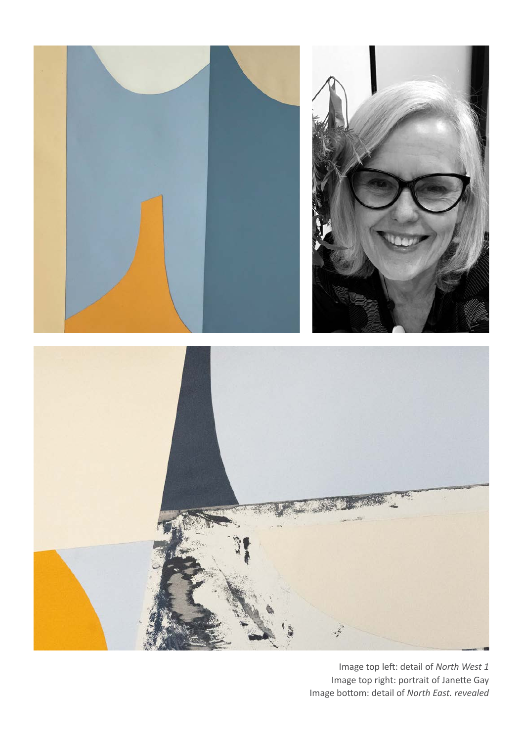

Image top left: detail of *North West 1* Image top right: portrait of Janette Gay Image bottom: detail of *North East. revealed*